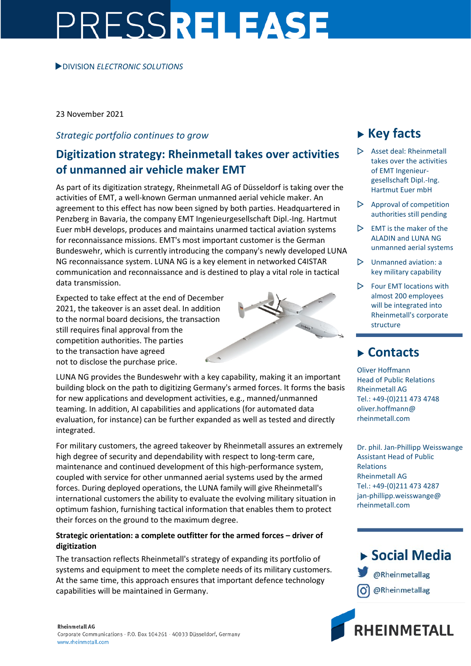# PRESSRELEASE

### DIVISION *ELECTRONIC SOLUTIONS*

23 November 2021

# *Strategic portfolio continues to grow*

# **Digitization strategy: Rheinmetall takes over activities of unmanned air vehicle maker EMT**

As part of its digitization strategy, Rheinmetall AG of Düsseldorf is taking over the activities of EMT, a well-known German unmanned aerial vehicle maker. An agreement to this effect has now been signed by both parties. Headquartered in Penzberg in Bavaria, the company EMT Ingenieurgesellschaft Dipl.-Ing. Hartmut Euer mbH develops, produces and maintains unarmed tactical aviation systems for reconnaissance missions. EMT's most important customer is the German Bundeswehr, which is currently introducing the company's newly developed LUNA NG reconnaissance system. LUNA NG is a key element in networked C4ISTAR communication and reconnaissance and is destined to play a vital role in tactical data transmission.

Expected to take effect at the end of December 2021, the takeover is an asset deal. In addition to the normal board decisions, the transaction still requires final approval from the competition authorities. The parties to the transaction have agreed not to disclose the purchase price.

LUNA NG provides the Bundeswehr with a key capability, making it an important building block on the path to digitizing Germany's armed forces. It forms the basis for new applications and development activities, e.g., manned/unmanned teaming. In addition, AI capabilities and applications (for automated data evaluation, for instance) can be further expanded as well as tested and directly integrated.

For military customers, the agreed takeover by Rheinmetall assures an extremely high degree of security and dependability with respect to long-term care, maintenance and continued development of this high-performance system, coupled with service for other unmanned aerial systems used by the armed forces. During deployed operations, the LUNA family will give Rheinmetall's international customers the ability to evaluate the evolving military situation in optimum fashion, furnishing tactical information that enables them to protect their forces on the ground to the maximum degree.

## **Strategic orientation: a complete outfitter for the armed forces – driver of digitization**

The transaction reflects Rheinmetall's strategy of expanding its portfolio of systems and equipment to meet the complete needs of its military customers. At the same time, this approach ensures that important defence technology capabilities will be maintained in Germany.

#### **Rheinmetall AG**

Corporate Communications · P.O. Box 104261 · 40033 Düsseldorf, Germany www.rheinmetall.com

# **Key facts**

- $\triangleright$  Asset deal: Rheinmetall takes over the activities of EMT Ingenieurgesellschaft Dipl.-Ing. Hartmut Euer mbH
- $\triangleright$  Approval of competition authorities still pending
- $\triangleright$  EMT is the maker of the ALADIN and LUNA NG unmanned aerial systems
- $\triangleright$  Unmanned aviation: a key military capability
- $\triangleright$  Four EMT locations with almost 200 employees will be integrated into Rheinmetall's corporate structure

# **Contacts**

Oliver Hoffmann Head of Public Relations Rheinmetall AG Tel.: +49-(0)211 473 4748 oliver.hoffmann@ rheinmetall.com

Dr. phil. Jan-Phillipp Weisswange Assistant Head of Public Relations Rheinmetall AG Tel.: +49-(0)211 473 4287 jan-phillipp.weisswange@ rheinmetall.com

▶ Social Media @Rheinmetallag @Rheinmetallag

RHEINMETALL